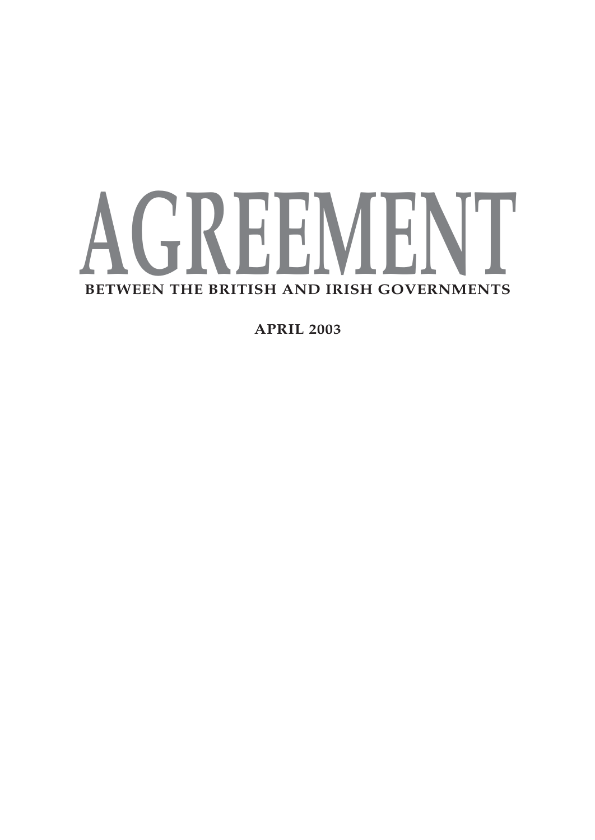# **AGREEMENT BETWEEN THE BRITISH AND IRISH GOVERNMENTS**

**APRIL 2003**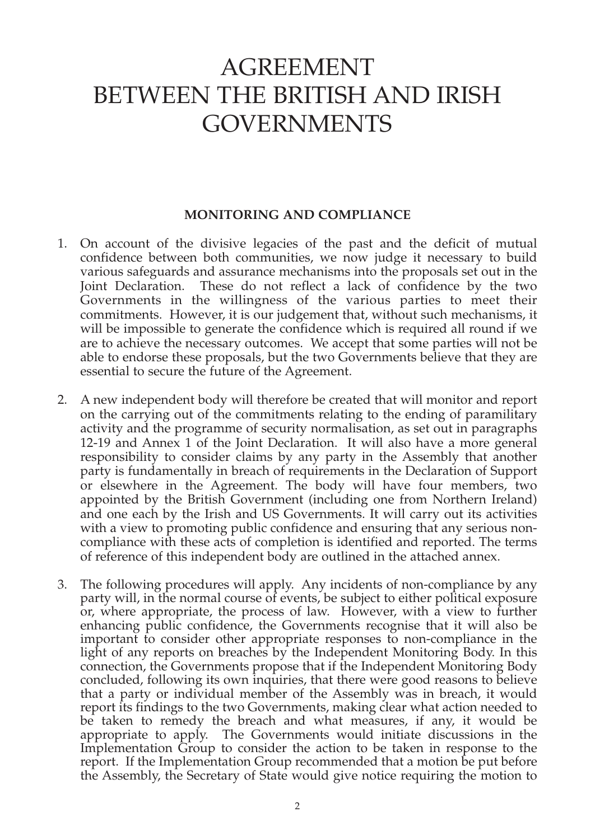## AGREEMENT BETWEEN THE BRITISH AND IRISH GOVERNMENTS

#### **MONITORING AND COMPLIANCE**

- 1. On account of the divisive legacies of the past and the deficit of mutual confidence between both communities, we now judge it necessary to build various safeguards and assurance mechanisms into the proposals set out in the Joint Declaration. These do not reflect a lack of confidence by the two Governments in the willingness of the various parties to meet their commitments. However, it is our judgement that, without such mechanisms, it will be impossible to generate the confidence which is required all round if we are to achieve the necessary outcomes. We accept that some parties will not be able to endorse these proposals, but the two Governments believe that they are essential to secure the future of the Agreement.
- 2. A new independent body will therefore be created that will monitor and report on the carrying out of the commitments relating to the ending of paramilitary activity and the programme of security normalisation, as set out in paragraphs 12-19 and Annex 1 of the Joint Declaration. It will also have a more general responsibility to consider claims by any party in the Assembly that another party is fundamentally in breach of requirements in the Declaration of Support or elsewhere in the Agreement. The body will have four members, two appointed by the British Government (including one from Northern Ireland) and one each by the Irish and US Governments. It will carry out its activities with a view to promoting public confidence and ensuring that any serious noncompliance with these acts of completion is identified and reported. The terms of reference of this independent body are outlined in the attached annex.
- 3. The following procedures will apply. Any incidents of non-compliance by any party will, in the normal course of events, be subject to either political exposure or, where appropriate, the process of law. However, with a view to further enhancing public confidence, the Governments recognise that it will also be important to consider other appropriate responses to non-compliance in the light of any reports on breaches by the Independent Monitoring Body. In this connection, the Governments propose that if the Independent Monitoring Body concluded, following its own inquiries, that there were good reasons to believe that a party or individual member of the Assembly was in breach, it would report its findings to the two Governments, making clear what action needed to be taken to remedy the breach and what measures, if any, it would be appropriate to apply. The Governments would initiate discussions in the Implementation Group to consider the action to be taken in response to the report. If the Implementation Group recommended that a motion be put before the Assembly, the Secretary of State would give notice requiring the motion to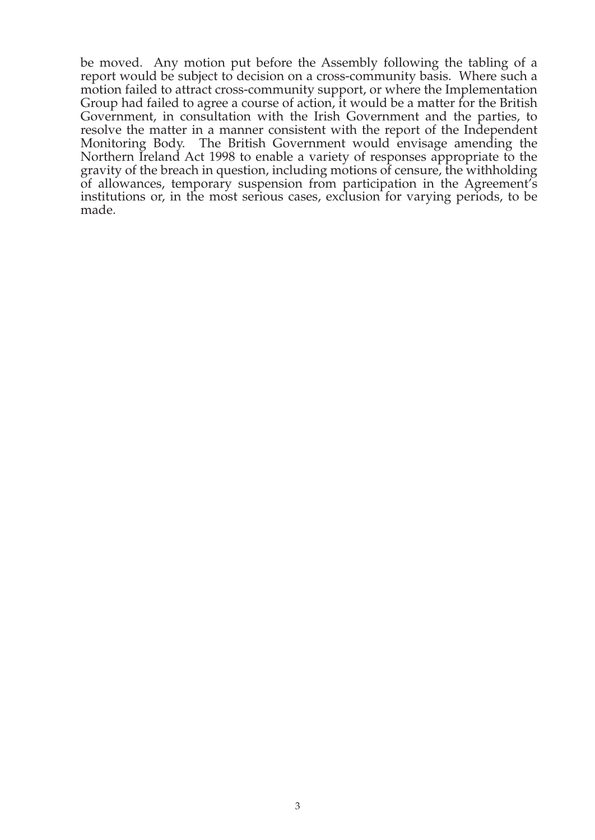be moved. Any motion put before the Assembly following the tabling of a report would be subject to decision on a cross-community basis. Where such a motion failed to attract cross-community support, or where the Implementation Group had failed to agree a course of action, it would be a matter for the British Government, in consultation with the Irish Government and the parties, to resolve the matter in a manner consistent with the report of the Independent Monitoring Body. The British Government would envisage amending the Northern Ireland Act 1998 to enable a variety of responses appropriate to the gravity of the breach in question, including motions of censure, the withholding of allowances, temporary suspension from participation in the Agreement's institutions or, in the most serious cases, exclusion for varying periods, to be made.